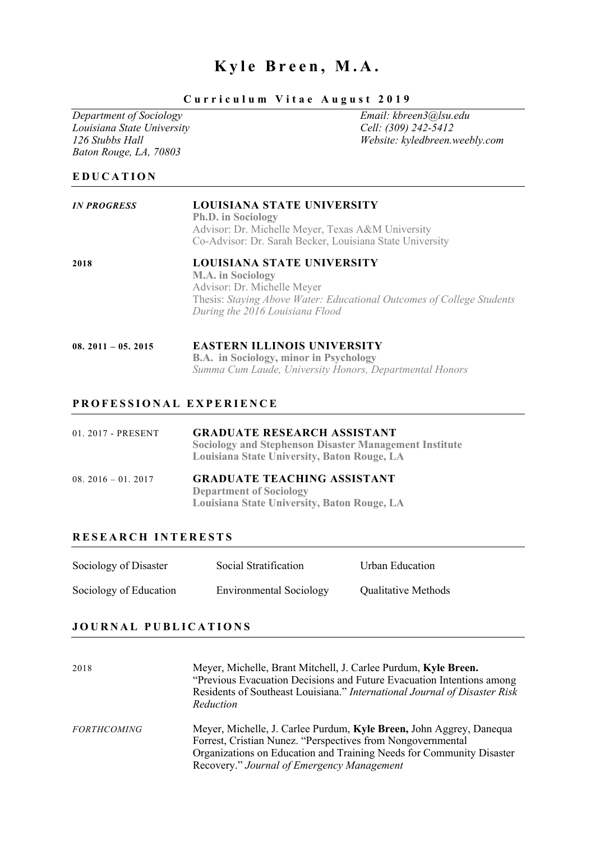# Kyle Breen, M.A.

# *Department of Sociology Email: kbreen3@lsu.edu Louisiana State University*<br>*126 Stubbs Hall Baton Rouge, LA, 70803*

## **Curriculum Vitae August 201 9**

*126 Stubbs Hall Website: kyledbreen.weebly.com*

# **EDUCATION**

| <b>IN PROGRESS</b>  | LOUISIANA STATE UNIVERSITY<br><b>Ph.D.</b> in Sociology<br>Advisor: Dr. Michelle Meyer, Texas A&M University<br>Co-Advisor: Dr. Sarah Becker, Louisiana State University                          |  |
|---------------------|---------------------------------------------------------------------------------------------------------------------------------------------------------------------------------------------------|--|
| 2018                | LOUISIANA STATE UNIVERSITY<br><b>M.A.</b> in Sociology<br>Advisor: Dr. Michelle Meyer<br>Thesis: Staying Above Water: Educational Outcomes of College Students<br>During the 2016 Louisiana Flood |  |
| $08.2011 - 05.2015$ | <b>EASTERN ILLINOIS UNIVERSITY</b><br><b>B.A.</b> in Sociology, minor in Psychology<br>Summa Cum Laude, University Honors, Departmental Honors                                                    |  |

## **PROFESSIONAL EXPERIE NCE**

| 01. 2017 - PRESENT  | <b>GRADUATE RESEARCH ASSISTANT</b><br><b>Sociology and Stephenson Disaster Management Institute</b><br>Louisiana State University, Baton Rouge, LA |
|---------------------|----------------------------------------------------------------------------------------------------------------------------------------------------|
| $08.2016 - 01.2017$ | <b>GRADUATE TEACHING ASSISTANT</b><br><b>Department of Sociology</b><br>Louisiana State University, Baton Rouge, LA                                |

## **RESEARCH INTERESTS**

| Sociology of Disaster  | Social Stratification          | Urban Education            |
|------------------------|--------------------------------|----------------------------|
| Sociology of Education | <b>Environmental Sociology</b> | <b>Qualitative Methods</b> |

### **JOURNAL PUBLICATIONS**

| 2018               | Meyer, Michelle, Brant Mitchell, J. Carlee Purdum, Kyle Breen.<br>"Previous Evacuation Decisions and Future Evacuation Intentions among<br>Residents of Southeast Louisiana." International Journal of Disaster Risk<br>Reduction                        |
|--------------------|----------------------------------------------------------------------------------------------------------------------------------------------------------------------------------------------------------------------------------------------------------|
| <b>FORTHCOMING</b> | Meyer, Michelle, J. Carlee Purdum, Kyle Breen, John Aggrey, Danequa<br>Forrest, Cristian Nunez. "Perspectives from Nongovernmental<br>Organizations on Education and Training Needs for Community Disaster<br>Recovery." Journal of Emergency Management |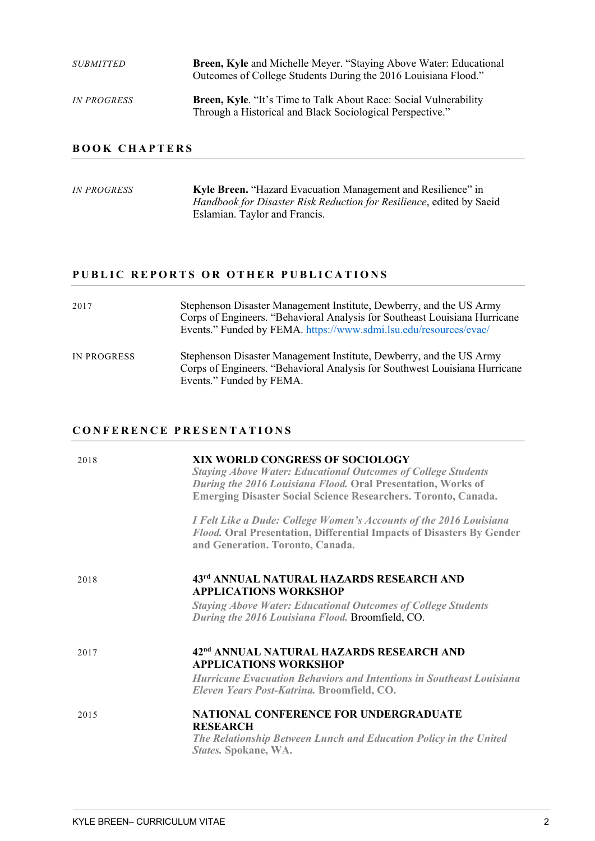| <i>SUBMITTED</i>   | Breen, Kyle and Michelle Meyer. "Staying Above Water: Educational<br>Outcomes of College Students During the 2016 Louisiana Flood."  |
|--------------------|--------------------------------------------------------------------------------------------------------------------------------------|
| <i>IN PROGRESS</i> | <b>Breen, Kyle.</b> "It's Time to Talk About Race: Social Vulnerability<br>Through a Historical and Black Sociological Perspective." |

# **BOOK CHAPTERS**

| <i>IN PROGRESS</i> | Kyle Breen. "Hazard Evacuation Management and Resilience" in         |
|--------------------|----------------------------------------------------------------------|
|                    | Handbook for Disaster Risk Reduction for Resilience, edited by Saeid |
|                    | Eslamian. Taylor and Francis.                                        |
|                    |                                                                      |

# PUBLIC REPORTS OR OTHER PUBLICATIONS

| 2017               | Stephenson Disaster Management Institute, Dewberry, and the US Army<br>Corps of Engineers. "Behavioral Analysis for Southeast Louisiana Hurricane<br>Events." Funded by FEMA. https://www.sdmi.lsu.edu/resources/evac/ |
|--------------------|------------------------------------------------------------------------------------------------------------------------------------------------------------------------------------------------------------------------|
| <b>IN PROGRESS</b> | Stephenson Disaster Management Institute, Dewberry, and the US Army<br>Corps of Engineers. "Behavioral Analysis for Southwest Louisiana Hurricane<br>Events." Funded by FEMA.                                          |

### **CONFERENCE PRESENTAT IONS**

| 2018 | XIX WORLD CONGRESS OF SOCIOLOGY<br><b>Staying Above Water: Educational Outcomes of College Students</b><br>During the 2016 Louisiana Flood. Oral Presentation, Works of<br><b>Emerging Disaster Social Science Researchers. Toronto, Canada.</b> |
|------|--------------------------------------------------------------------------------------------------------------------------------------------------------------------------------------------------------------------------------------------------|
|      | I Felt Like a Dude: College Women's Accounts of the 2016 Louisiana<br>Flood. Oral Presentation, Differential Impacts of Disasters By Gender<br>and Generation. Toronto, Canada.                                                                  |
| 2018 | 43rd ANNUAL NATURAL HAZARDS RESEARCH AND<br><b>APPLICATIONS WORKSHOP</b><br><b>Staying Above Water: Educational Outcomes of College Students</b><br>During the 2016 Louisiana Flood. Broomfield, CO.                                             |
|      |                                                                                                                                                                                                                                                  |
| 2017 | 42 <sup>nd</sup> ANNUAL NATURAL HAZARDS RESEARCH AND<br><b>APPLICATIONS WORKSHOP</b>                                                                                                                                                             |
|      | <b>Hurricane Evacuation Behaviors and Intentions in Southeast Louisiana</b><br>Eleven Years Post-Katrina. Broomfield, CO.                                                                                                                        |
| 2015 | <b>NATIONAL CONFERENCE FOR UNDERGRADUATE</b><br><b>RESEARCH</b><br>The Relationship Between Lunch and Education Policy in the United<br>States. Spokane, WA.                                                                                     |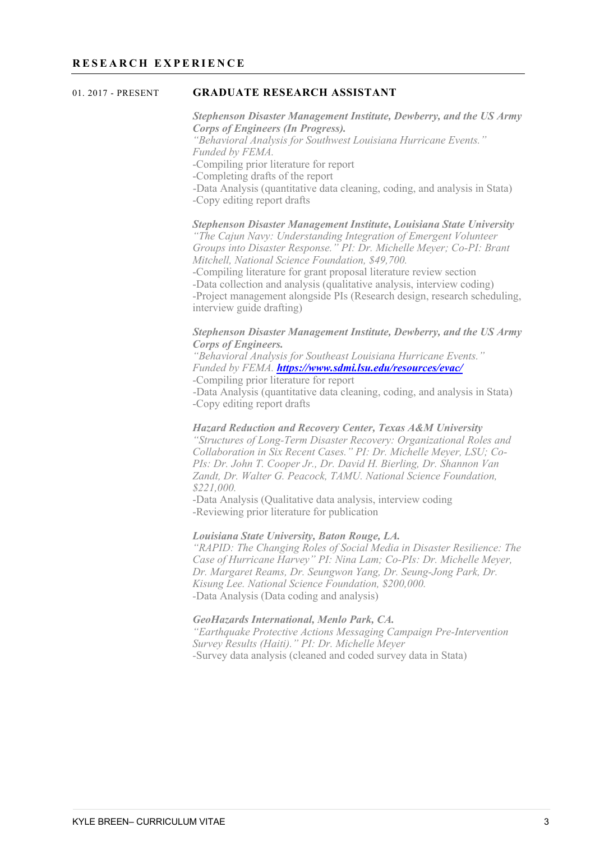#### 01. 2017 - PRESENT **GRADUATE RESEARCH ASSISTANT**

*Stephenson Disaster Management Institute, Dewberry, and the US Army Corps of Engineers (In Progress). "Behavioral Analysis for Southwest Louisiana Hurricane Events." Funded by FEMA.*  -Compiling prior literature for report -Completing drafts of the report -Data Analysis (quantitative data cleaning, coding, and analysis in Stata) -Copy editing report drafts

#### *Stephenson Disaster Management Institute***,** *Louisiana State University "The Cajun Navy: Understanding Integration of Emergent Volunteer*

*Groups into Disaster Response." PI: Dr. Michelle Meyer; Co-PI: Brant Mitchell, National Science Foundation, \$49,700.*

-Compiling literature for grant proposal literature review section -Data collection and analysis (qualitative analysis, interview coding) -Project management alongside PIs (Research design, research scheduling, interview guide drafting)

#### *Stephenson Disaster Management Institute, Dewberry, and the US Army Corps of Engineers.*

*"Behavioral Analysis for Southeast Louisiana Hurricane Events." Funded by FEMA. https://www.sdmi.lsu.edu/resources/evac/* -Compiling prior literature for report

-Data Analysis (quantitative data cleaning, coding, and analysis in Stata) -Copy editing report drafts

#### *Hazard Reduction and Recovery Center, Texas A&M University*

*"Structures of Long-Term Disaster Recovery: Organizational Roles and Collaboration in Six Recent Cases." PI: Dr. Michelle Meyer, LSU; Co-PIs: Dr. John T. Cooper Jr., Dr. David H. Bierling, Dr. Shannon Van Zandt, Dr. Walter G. Peacock, TAMU. National Science Foundation, \$221,000.*

-Data Analysis (Qualitative data analysis, interview coding -Reviewing prior literature for publication

#### *Louisiana State University, Baton Rouge, LA.*

*"RAPID: The Changing Roles of Social Media in Disaster Resilience: The Case of Hurricane Harvey" PI: Nina Lam; Co-PIs: Dr. Michelle Meyer, Dr. Margaret Reams, Dr. Seungwon Yang, Dr. Seung-Jong Park, Dr. Kisung Lee. National Science Foundation, \$200,000. -*Data Analysis (Data coding and analysis)

#### *GeoHazards International, Menlo Park, CA.*

*"Earthquake Protective Actions Messaging Campaign Pre-Intervention Survey Results (Haiti)." PI: Dr. Michelle Meyer -*Survey data analysis (cleaned and coded survey data in Stata)